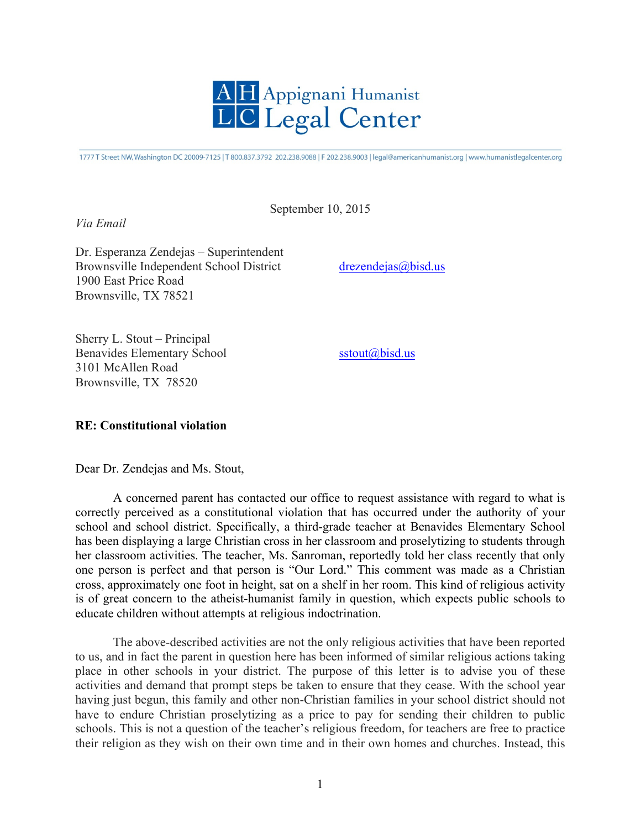

1777 T Street NW, Washington DC 20009-7125 | T 800.837.3792 202.238.9088 | F 202.238.9003 | legal@americanhumanist.org | www.humanistlegalcenter.org

September 10, 2015

*Via Email* 

Dr. Esperanza Zendejas – Superintendent Brownsville Independent School District drezendejas@bisd.us 1900 East Price Road Brownsville, TX 78521

Sherry L. Stout – Principal Benavides Elementary School sstout@bisd.us 3101 McAllen Road Brownsville, TX 78520

## **RE: Constitutional violation**

Dear Dr. Zendejas and Ms. Stout,

A concerned parent has contacted our office to request assistance with regard to what is correctly perceived as a constitutional violation that has occurred under the authority of your school and school district. Specifically, a third-grade teacher at Benavides Elementary School has been displaying a large Christian cross in her classroom and proselytizing to students through her classroom activities. The teacher, Ms. Sanroman, reportedly told her class recently that only one person is perfect and that person is "Our Lord." This comment was made as a Christian cross, approximately one foot in height, sat on a shelf in her room. This kind of religious activity is of great concern to the atheist-humanist family in question, which expects public schools to educate children without attempts at religious indoctrination.

The above-described activities are not the only religious activities that have been reported to us, and in fact the parent in question here has been informed of similar religious actions taking place in other schools in your district. The purpose of this letter is to advise you of these activities and demand that prompt steps be taken to ensure that they cease. With the school year having just begun, this family and other non-Christian families in your school district should not have to endure Christian proselytizing as a price to pay for sending their children to public schools. This is not a question of the teacher's religious freedom, for teachers are free to practice their religion as they wish on their own time and in their own homes and churches. Instead, this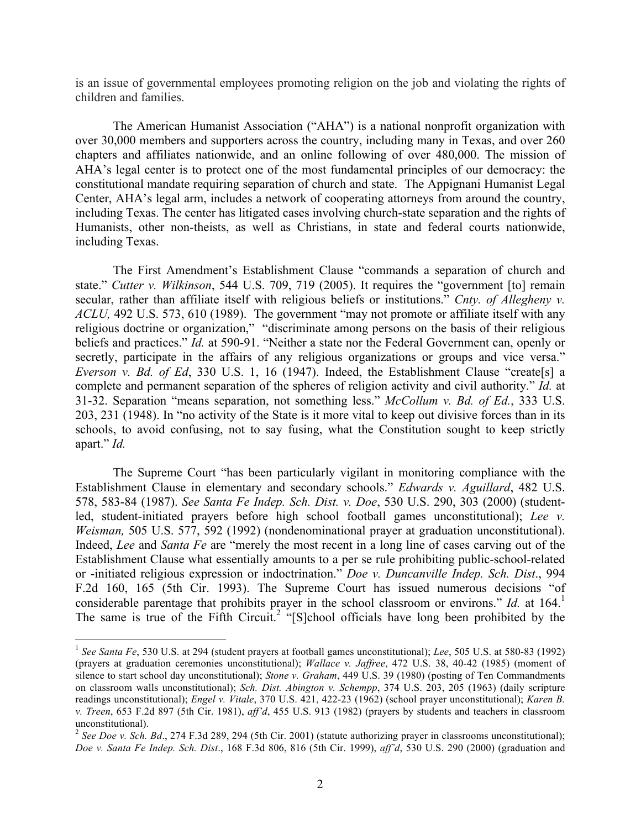is an issue of governmental employees promoting religion on the job and violating the rights of children and families.

The American Humanist Association ("AHA") is a national nonprofit organization with over 30,000 members and supporters across the country, including many in Texas, and over 260 chapters and affiliates nationwide, and an online following of over 480,000. The mission of AHA's legal center is to protect one of the most fundamental principles of our democracy: the constitutional mandate requiring separation of church and state. The Appignani Humanist Legal Center, AHA's legal arm, includes a network of cooperating attorneys from around the country, including Texas. The center has litigated cases involving church-state separation and the rights of Humanists, other non-theists, as well as Christians, in state and federal courts nationwide, including Texas.

The First Amendment's Establishment Clause "commands a separation of church and state." *Cutter v. Wilkinson*, 544 U.S. 709, 719 (2005). It requires the "government [to] remain secular, rather than affiliate itself with religious beliefs or institutions." *Cnty. of Allegheny v. ACLU,* 492 U.S. 573, 610 (1989). The government "may not promote or affiliate itself with any religious doctrine or organization," "discriminate among persons on the basis of their religious beliefs and practices." *Id.* at 590-91. "Neither a state nor the Federal Government can, openly or secretly, participate in the affairs of any religious organizations or groups and vice versa." *Everson v. Bd. of Ed*, 330 U.S. 1, 16 (1947). Indeed, the Establishment Clause "create[s] a complete and permanent separation of the spheres of religion activity and civil authority." *Id.* at 31-32. Separation "means separation, not something less." *McCollum v. Bd. of Ed.*, 333 U.S. 203, 231 (1948). In "no activity of the State is it more vital to keep out divisive forces than in its schools, to avoid confusing, not to say fusing, what the Constitution sought to keep strictly apart." *Id.*

The Supreme Court "has been particularly vigilant in monitoring compliance with the Establishment Clause in elementary and secondary schools." *Edwards v. Aguillard*, 482 U.S. 578, 583-84 (1987). *See Santa Fe Indep. Sch. Dist. v. Doe*, 530 U.S. 290, 303 (2000) (studentled, student-initiated prayers before high school football games unconstitutional); *Lee v. Weisman,* 505 U.S. 577, 592 (1992) (nondenominational prayer at graduation unconstitutional). Indeed, *Lee* and *Santa Fe* are "merely the most recent in a long line of cases carving out of the Establishment Clause what essentially amounts to a per se rule prohibiting public-school-related or -initiated religious expression or indoctrination." *Doe v. Duncanville Indep. Sch. Dist*., 994 F.2d 160, 165 (5th Cir. 1993). The Supreme Court has issued numerous decisions "of considerable parentage that prohibits prayer in the school classroom or environs." *Id.* at 164.<sup>1</sup> The same is true of the Fifth Circuit.<sup>2</sup> "[S]chool officials have long been prohibited by the

 <sup>1</sup> *See Santa Fe*, 530 U.S. at 294 (student prayers at football games unconstitutional); *Lee*, 505 U.S. at 580-83 (1992) (prayers at graduation ceremonies unconstitutional); *Wallace v. Jaffree*, 472 U.S. 38, 40-42 (1985) (moment of silence to start school day unconstitutional); *Stone v. Graham*, 449 U.S. 39 (1980) (posting of Ten Commandments on classroom walls unconstitutional); *Sch. Dist. Abington v. Schempp*, 374 U.S. 203, 205 (1963) (daily scripture readings unconstitutional); *Engel v. Vitale*, 370 U.S. 421, 422-23 (1962) (school prayer unconstitutional); *Karen B. v. Treen*, 653 F.2d 897 (5th Cir. 1981), *aff'd*, 455 U.S. 913 (1982) (prayers by students and teachers in classroom unconstitutional).

<sup>&</sup>lt;sup>2</sup> See Doe v. Sch. Bd., 274 F.3d 289, 294 (5th Cir. 2001) (statute authorizing prayer in classrooms unconstitutional); *Doe v. Santa Fe Indep. Sch. Dist*., 168 F.3d 806, 816 (5th Cir. 1999), *aff'd*, 530 U.S. 290 (2000) (graduation and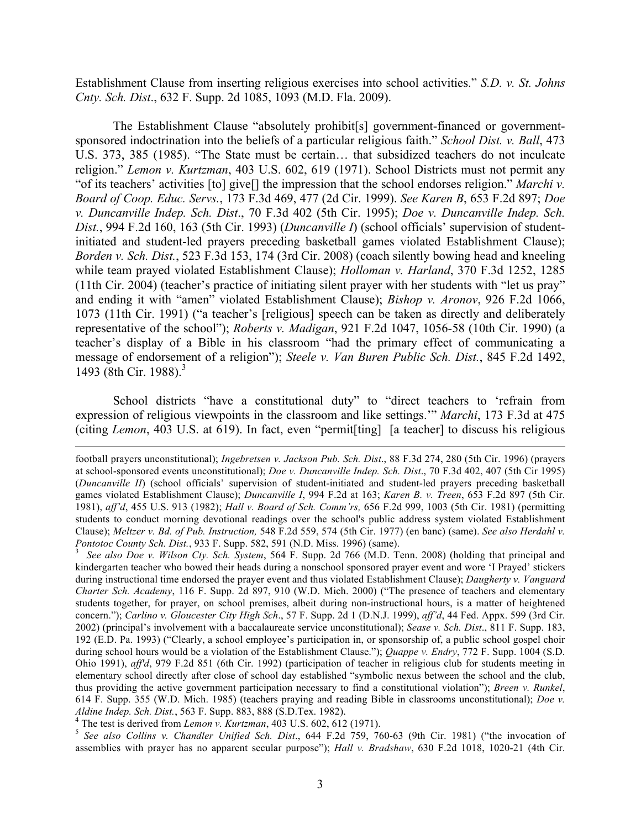Establishment Clause from inserting religious exercises into school activities." *S.D. v. St. Johns Cnty. Sch. Dist*., 632 F. Supp. 2d 1085, 1093 (M.D. Fla. 2009).

The Establishment Clause "absolutely prohibit[s] government-financed or governmentsponsored indoctrination into the beliefs of a particular religious faith." *School Dist. v. Ball*, 473 U.S. 373, 385 (1985). "The State must be certain… that subsidized teachers do not inculcate religion." *Lemon v. Kurtzman*, 403 U.S. 602, 619 (1971). School Districts must not permit any "of its teachers' activities [to] give[] the impression that the school endorses religion." *Marchi v. Board of Coop. Educ. Servs.*, 173 F.3d 469, 477 (2d Cir. 1999). *See Karen B*, 653 F.2d 897; *Doe v. Duncanville Indep. Sch. Dist*., 70 F.3d 402 (5th Cir. 1995); *Doe v. Duncanville Indep. Sch. Dist.*, 994 F.2d 160, 163 (5th Cir. 1993) (*Duncanville I*) (school officials' supervision of studentinitiated and student-led prayers preceding basketball games violated Establishment Clause); *Borden v. Sch. Dist.*, 523 F.3d 153, 174 (3rd Cir. 2008) (coach silently bowing head and kneeling while team prayed violated Establishment Clause); *Holloman v. Harland*, 370 F.3d 1252, 1285 (11th Cir. 2004) (teacher's practice of initiating silent prayer with her students with "let us pray" and ending it with "amen" violated Establishment Clause); *Bishop v. Aronov*, 926 F.2d 1066, 1073 (11th Cir. 1991) ("a teacher's [religious] speech can be taken as directly and deliberately representative of the school"); *Roberts v. Madigan*, 921 F.2d 1047, 1056-58 (10th Cir. 1990) (a teacher's display of a Bible in his classroom "had the primary effect of communicating a message of endorsement of a religion"); *Steele v. Van Buren Public Sch. Dist.*, 845 F.2d 1492, 1493 (8th Cir. 1988). 3

School districts "have a constitutional duty" to "direct teachers to 'refrain from expression of religious viewpoints in the classroom and like settings.'" *Marchi*, 173 F.3d at 475 (citing *Lemon*, 403 U.S. at 619). In fact, even "permit[ting] [a teacher] to discuss his religious

assemblies with prayer has no apparent secular purpose"); *Hall v. Bradshaw*, 630 F.2d 1018, 1020-21 (4th Cir.

football prayers unconstitutional); *Ingebretsen v. Jackson Pub. Sch. Dist*., 88 F.3d 274, 280 (5th Cir. 1996) (prayers at school-sponsored events unconstitutional); *Doe v. Duncanville Indep. Sch. Dist*., 70 F.3d 402, 407 (5th Cir 1995) (*Duncanville II*) (school officials' supervision of student-initiated and student-led prayers preceding basketball games violated Establishment Clause); *Duncanville I*, 994 F.2d at 163; *Karen B. v. Treen*, 653 F.2d 897 (5th Cir. 1981), *aff'd*, 455 U.S. 913 (1982); *Hall v. Board of Sch. Comm'rs,* 656 F.2d 999, 1003 (5th Cir. 1981) (permitting students to conduct morning devotional readings over the school's public address system violated Establishment Clause); *Meltzer v. Bd. of Pub. Instruction,* 548 F.2d 559, 574 (5th Cir. 1977) (en banc) (same). *See also Herdahl v. Pontotoc County Sch. Dist.*, 933 F. Supp. 582, 591 (N.D. Miss. 1996) (same). 3

*See also Doe v. Wilson Cty. Sch. System*, 564 F. Supp. 2d 766 (M.D. Tenn. 2008) (holding that principal and kindergarten teacher who bowed their heads during a nonschool sponsored prayer event and wore 'I Prayed' stickers during instructional time endorsed the prayer event and thus violated Establishment Clause); *Daugherty v. Vanguard Charter Sch. Academy*, 116 F. Supp. 2d 897, 910 (W.D. Mich. 2000) ("The presence of teachers and elementary students together, for prayer, on school premises, albeit during non-instructional hours, is a matter of heightened concern."); *Carlino v. Gloucester City High Sch*., 57 F. Supp. 2d 1 (D.N.J. 1999), *aff'd*, 44 Fed. Appx. 599 (3rd Cir. 2002) (principal's involvement with a baccalaureate service unconstitutional); *Sease v. Sch. Dist*., 811 F. Supp. 183, 192 (E.D. Pa. 1993) ("Clearly, a school employee's participation in, or sponsorship of, a public school gospel choir during school hours would be a violation of the Establishment Clause."); *Quappe v. Endry*, 772 F. Supp. 1004 (S.D. Ohio 1991), *aff'd*, 979 F.2d 851 (6th Cir. 1992) (participation of teacher in religious club for students meeting in elementary school directly after close of school day established "symbolic nexus between the school and the club, thus providing the active government participation necessary to find a constitutional violation"); *Breen v. Runkel*, 614 F. Supp. 355 (W.D. Mich. 1985) (teachers praying and reading Bible in classrooms unconstitutional); *Doe v.*  Aldine Indep. Sch. Dist., 563 F. Supp. 883, 888 (S.D.Tex. 1982).<br>
<sup>4</sup> The test is derived from Lemon v. Kurtzman, 403 U.S. 602, 612 (1971).<br>
<sup>5</sup> See also Collins v. Chandler Unified Sch. Dist., 644 F.2d 759, 760-63 (9th C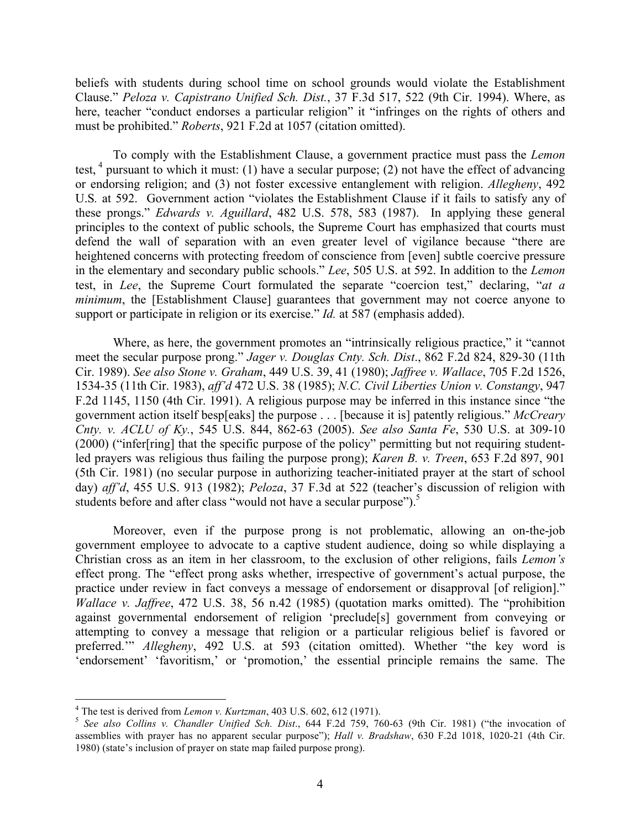beliefs with students during school time on school grounds would violate the Establishment Clause." *Peloza v. Capistrano Unified Sch. Dist.*, 37 F.3d 517, 522 (9th Cir. 1994). Where, as here, teacher "conduct endorses a particular religion" it "infringes on the rights of others and must be prohibited." *Roberts*, 921 F.2d at 1057 (citation omitted).

To comply with the Establishment Clause, a government practice must pass the *Lemon*  test,  $4$  pursuant to which it must: (1) have a secular purpose; (2) not have the effect of advancing or endorsing religion; and (3) not foster excessive entanglement with religion. *Allegheny*, 492 U.S*.* at 592. Government action "violates the Establishment Clause if it fails to satisfy any of these prongs." *Edwards v. Aguillard*, 482 U.S. 578, 583 (1987). In applying these general principles to the context of public schools, the Supreme Court has emphasized that courts must defend the wall of separation with an even greater level of vigilance because "there are heightened concerns with protecting freedom of conscience from [even] subtle coercive pressure in the elementary and secondary public schools." *Lee*, 505 U.S. at 592. In addition to the *Lemon*  test, in *Lee*, the Supreme Court formulated the separate "coercion test," declaring, "*at a minimum*, the [Establishment Clause] guarantees that government may not coerce anyone to support or participate in religion or its exercise." *Id.* at 587 (emphasis added).

Where, as here, the government promotes an "intrinsically religious practice," it "cannot meet the secular purpose prong." *Jager v. Douglas Cnty. Sch. Dist*., 862 F.2d 824, 829-30 (11th Cir. 1989). *See also Stone v. Graham*, 449 U.S. 39, 41 (1980); *Jaffree v. Wallace*, 705 F.2d 1526, 1534-35 (11th Cir. 1983), *aff'd* 472 U.S. 38 (1985); *N.C. Civil Liberties Union v. Constangy*, 947 F.2d 1145, 1150 (4th Cir. 1991). A religious purpose may be inferred in this instance since "the government action itself besp[eaks] the purpose . . . [because it is] patently religious." *McCreary Cnty. v. ACLU of Ky.*, 545 U.S. 844, 862-63 (2005). *See also Santa Fe*, 530 U.S. at 309-10 (2000) ("infer[ring] that the specific purpose of the policy" permitting but not requiring studentled prayers was religious thus failing the purpose prong); *Karen B. v. Treen*, 653 F.2d 897, 901 (5th Cir. 1981) (no secular purpose in authorizing teacher-initiated prayer at the start of school day) *aff'd*, 455 U.S. 913 (1982); *Peloza*, 37 F.3d at 522 (teacher's discussion of religion with students before and after class "would not have a secular purpose").<sup>5</sup>

Moreover, even if the purpose prong is not problematic, allowing an on-the-job government employee to advocate to a captive student audience, doing so while displaying a Christian cross as an item in her classroom, to the exclusion of other religions, fails *Lemon's* effect prong. The "effect prong asks whether, irrespective of government's actual purpose, the practice under review in fact conveys a message of endorsement or disapproval [of religion]." *Wallace v. Jaffree*, 472 U.S. 38, 56 n.42 (1985) (quotation marks omitted). The "prohibition against governmental endorsement of religion 'preclude[s] government from conveying or attempting to convey a message that religion or a particular religious belief is favored or preferred.'" *Allegheny*, 492 U.S. at 593 (citation omitted). Whether "the key word is 'endorsement' 'favoritism,' or 'promotion,' the essential principle remains the same. The

<sup>&</sup>lt;sup>4</sup> The test is derived from *Lemon v. Kurtzman*, 403 U.S. 602, 612 (1971).<br><sup>5</sup> *See also Collins v. Chandler Unified Sch. Dist.*, 644 F.2d 759, 760-63 (9th Cir. 1981) ("the invocation of assemblies with prayer has no apparent secular purpose"); *Hall v. Bradshaw*, 630 F.2d 1018, 1020-21 (4th Cir. 1980) (state's inclusion of prayer on state map failed purpose prong).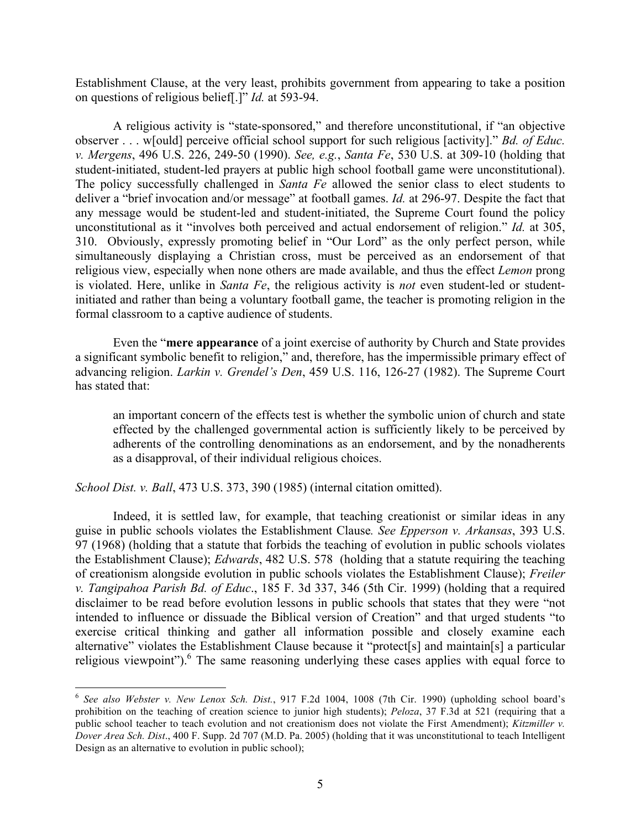Establishment Clause, at the very least, prohibits government from appearing to take a position on questions of religious belief[.]" *Id.* at 593-94.

A religious activity is "state-sponsored," and therefore unconstitutional, if "an objective observer . . . w[ould] perceive official school support for such religious [activity]." *Bd. of Educ. v. Mergens*, 496 U.S. 226, 249-50 (1990). *See, e.g.*, *Santa Fe*, 530 U.S. at 309-10 (holding that student-initiated, student-led prayers at public high school football game were unconstitutional). The policy successfully challenged in *Santa Fe* allowed the senior class to elect students to deliver a "brief invocation and/or message" at football games. *Id.* at 296-97. Despite the fact that any message would be student-led and student-initiated, the Supreme Court found the policy unconstitutional as it "involves both perceived and actual endorsement of religion." *Id.* at 305, 310. Obviously, expressly promoting belief in "Our Lord" as the only perfect person, while simultaneously displaying a Christian cross, must be perceived as an endorsement of that religious view, especially when none others are made available, and thus the effect *Lemon* prong is violated. Here, unlike in *Santa Fe*, the religious activity is *not* even student-led or studentinitiated and rather than being a voluntary football game, the teacher is promoting religion in the formal classroom to a captive audience of students.

Even the "**mere appearance** of a joint exercise of authority by Church and State provides a significant symbolic benefit to religion," and, therefore, has the impermissible primary effect of advancing religion. *Larkin v. Grendel's Den*, 459 U.S. 116, 126-27 (1982). The Supreme Court has stated that:

an important concern of the effects test is whether the symbolic union of church and state effected by the challenged governmental action is sufficiently likely to be perceived by adherents of the controlling denominations as an endorsement, and by the nonadherents as a disapproval, of their individual religious choices.

*School Dist. v. Ball*, 473 U.S. 373, 390 (1985) (internal citation omitted).

Indeed, it is settled law, for example, that teaching creationist or similar ideas in any guise in public schools violates the Establishment Clause*. See Epperson v. Arkansas*, 393 U.S. 97 (1968) (holding that a statute that forbids the teaching of evolution in public schools violates the Establishment Clause); *Edwards*, 482 U.S. 578 (holding that a statute requiring the teaching of creationism alongside evolution in public schools violates the Establishment Clause); *Freiler v. Tangipahoa Parish Bd. of Educ*., 185 F. 3d 337, 346 (5th Cir. 1999) (holding that a required disclaimer to be read before evolution lessons in public schools that states that they were "not intended to influence or dissuade the Biblical version of Creation" and that urged students "to exercise critical thinking and gather all information possible and closely examine each alternative" violates the Establishment Clause because it "protect[s] and maintain[s] a particular religious viewpoint").<sup>6</sup> The same reasoning underlying these cases applies with equal force to

 <sup>6</sup> *See also Webster v. New Lenox Sch. Dist.*, 917 F.2d 1004, 1008 (7th Cir. 1990) (upholding school board's prohibition on the teaching of creation science to junior high students); *Peloza*, 37 F.3d at 521 (requiring that a public school teacher to teach evolution and not creationism does not violate the First Amendment); *Kitzmiller v. Dover Area Sch. Dist*., 400 F. Supp. 2d 707 (M.D. Pa. 2005) (holding that it was unconstitutional to teach Intelligent Design as an alternative to evolution in public school);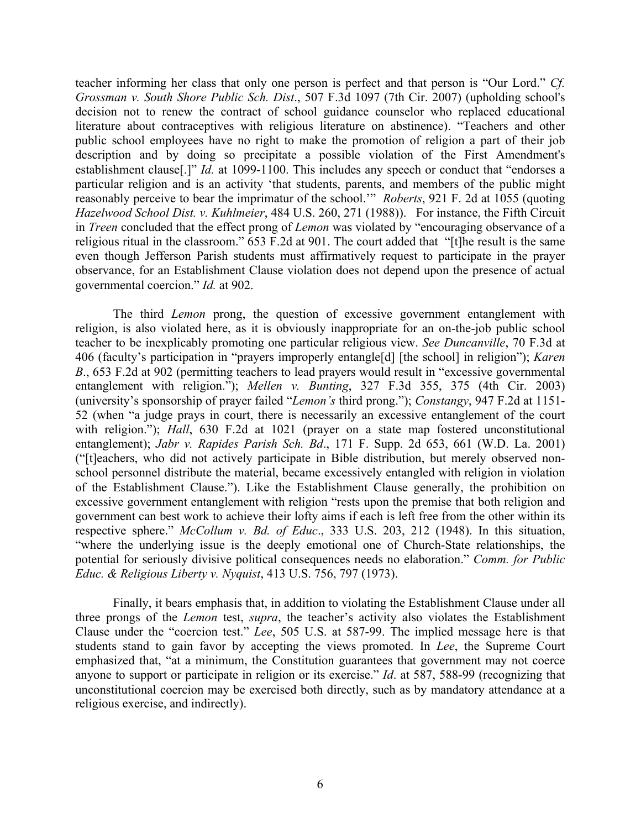teacher informing her class that only one person is perfect and that person is "Our Lord." *Cf. Grossman v. South Shore Public Sch. Dist*., 507 F.3d 1097 (7th Cir. 2007) (upholding school's decision not to renew the contract of school guidance counselor who replaced educational literature about contraceptives with religious literature on abstinence). "Teachers and other public school employees have no right to make the promotion of religion a part of their job description and by doing so precipitate a possible violation of the First Amendment's establishment clause<sup>[1]</sup>" *Id.* at 1099-1100. This includes any speech or conduct that "endorses a particular religion and is an activity 'that students, parents, and members of the public might reasonably perceive to bear the imprimatur of the school.'" *Roberts*, 921 F. 2d at 1055 (quoting *Hazelwood School Dist. v. Kuhlmeier*, 484 U.S. 260, 271 (1988)). For instance, the Fifth Circuit in *Treen* concluded that the effect prong of *Lemon* was violated by "encouraging observance of a religious ritual in the classroom." 653 F.2d at 901. The court added that "[t]he result is the same even though Jefferson Parish students must affirmatively request to participate in the prayer observance, for an Establishment Clause violation does not depend upon the presence of actual governmental coercion." *Id.* at 902.

The third *Lemon* prong, the question of excessive government entanglement with religion, is also violated here, as it is obviously inappropriate for an on-the-job public school teacher to be inexplicably promoting one particular religious view. *See Duncanville*, 70 F.3d at 406 (faculty's participation in "prayers improperly entangle[d] [the school] in religion"); *Karen B*., 653 F.2d at 902 (permitting teachers to lead prayers would result in "excessive governmental entanglement with religion."); *Mellen v. Bunting*, 327 F.3d 355, 375 (4th Cir. 2003) (university's sponsorship of prayer failed "*Lemon's* third prong."); *Constangy*, 947 F.2d at 1151- 52 (when "a judge prays in court, there is necessarily an excessive entanglement of the court with religion."); *Hall*, 630 F.2d at 1021 (prayer on a state map fostered unconstitutional entanglement); *Jabr v. Rapides Parish Sch. Bd*., 171 F. Supp. 2d 653, 661 (W.D. La. 2001) ("[t]eachers, who did not actively participate in Bible distribution, but merely observed nonschool personnel distribute the material, became excessively entangled with religion in violation of the Establishment Clause."). Like the Establishment Clause generally, the prohibition on excessive government entanglement with religion "rests upon the premise that both religion and government can best work to achieve their lofty aims if each is left free from the other within its respective sphere." *McCollum v. Bd. of Educ*., 333 U.S. 203, 212 (1948). In this situation, "where the underlying issue is the deeply emotional one of Church-State relationships, the potential for seriously divisive political consequences needs no elaboration." *Comm. for Public Educ. & Religious Liberty v. Nyquist*, 413 U.S. 756, 797 (1973).

Finally, it bears emphasis that, in addition to violating the Establishment Clause under all three prongs of the *Lemon* test, *supra*, the teacher's activity also violates the Establishment Clause under the "coercion test." *Lee*, 505 U.S. at 587-99. The implied message here is that students stand to gain favor by accepting the views promoted. In *Lee*, the Supreme Court emphasized that, "at a minimum, the Constitution guarantees that government may not coerce anyone to support or participate in religion or its exercise." *Id*. at 587, 588-99 (recognizing that unconstitutional coercion may be exercised both directly, such as by mandatory attendance at a religious exercise, and indirectly).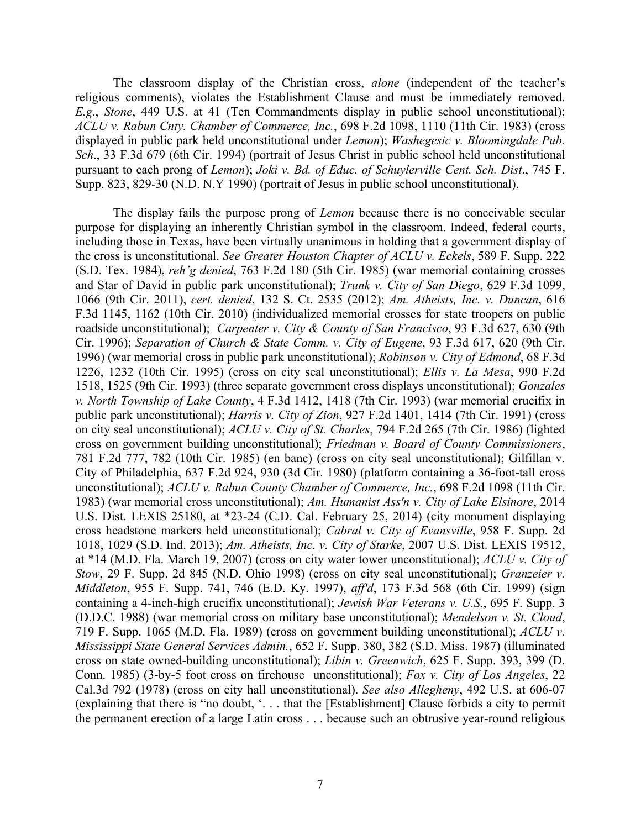The classroom display of the Christian cross, *alone* (independent of the teacher's religious comments), violates the Establishment Clause and must be immediately removed. *E.g.*, *Stone*, 449 U.S. at 41 (Ten Commandments display in public school unconstitutional); *ACLU v. Rabun Cnty. Chamber of Commerce, Inc.*, 698 F.2d 1098, 1110 (11th Cir. 1983) (cross displayed in public park held unconstitutional under *Lemon*); *Washegesic v. Bloomingdale Pub. Sch*., 33 F.3d 679 (6th Cir. 1994) (portrait of Jesus Christ in public school held unconstitutional pursuant to each prong of *Lemon*); *Joki v. Bd. of Educ. of Schuylerville Cent. Sch. Dist*., 745 F. Supp. 823, 829-30 (N.D. N.Y 1990) (portrait of Jesus in public school unconstitutional).

The display fails the purpose prong of *Lemon* because there is no conceivable secular purpose for displaying an inherently Christian symbol in the classroom. Indeed, federal courts, including those in Texas, have been virtually unanimous in holding that a government display of the cross is unconstitutional. *See Greater Houston Chapter of ACLU v. Eckels*, 589 F. Supp. 222 (S.D. Tex. 1984), *reh'g denied*, 763 F.2d 180 (5th Cir. 1985) (war memorial containing crosses and Star of David in public park unconstitutional); *Trunk v. City of San Diego*, 629 F.3d 1099, 1066 (9th Cir. 2011), *cert. denied*, 132 S. Ct. 2535 (2012); *Am. Atheists, Inc. v. Duncan*, 616 F.3d 1145, 1162 (10th Cir. 2010) (individualized memorial crosses for state troopers on public roadside unconstitutional); *Carpenter v. City & County of San Francisco*, 93 F.3d 627, 630 (9th Cir. 1996); *Separation of Church & State Comm. v. City of Eugene*, 93 F.3d 617, 620 (9th Cir. 1996) (war memorial cross in public park unconstitutional); *Robinson v. City of Edmond*, 68 F.3d 1226, 1232 (10th Cir. 1995) (cross on city seal unconstitutional); *Ellis v. La Mesa*, 990 F.2d 1518, 1525 (9th Cir. 1993) (three separate government cross displays unconstitutional); *Gonzales v. North Township of Lake County*, 4 F.3d 1412, 1418 (7th Cir. 1993) (war memorial crucifix in public park unconstitutional); *Harris v. City of Zion*, 927 F.2d 1401, 1414 (7th Cir. 1991) (cross on city seal unconstitutional); *ACLU v. City of St. Charles*, 794 F.2d 265 (7th Cir. 1986) (lighted cross on government building unconstitutional); *Friedman v. Board of County Commissioners*, 781 F.2d 777, 782 (10th Cir. 1985) (en banc) (cross on city seal unconstitutional); Gilfillan v. City of Philadelphia, 637 F.2d 924, 930 (3d Cir. 1980) (platform containing a 36-foot-tall cross unconstitutional); *ACLU v. Rabun County Chamber of Commerce, Inc.*, 698 F.2d 1098 (11th Cir. 1983) (war memorial cross unconstitutional); *Am. Humanist Ass'n v. City of Lake Elsinore*, 2014 U.S. Dist. LEXIS 25180, at \*23-24 (C.D. Cal. February 25, 2014) (city monument displaying cross headstone markers held unconstitutional); *Cabral v. City of Evansville*, 958 F. Supp. 2d 1018, 1029 (S.D. Ind. 2013); *Am. Atheists, Inc. v. City of Starke*, 2007 U.S. Dist. LEXIS 19512, at \*14 (M.D. Fla. March 19, 2007) (cross on city water tower unconstitutional); *ACLU v. City of Stow*, 29 F. Supp. 2d 845 (N.D. Ohio 1998) (cross on city seal unconstitutional); *Granzeier v. Middleton*, 955 F. Supp. 741, 746 (E.D. Ky. 1997), *aff'd*, 173 F.3d 568 (6th Cir. 1999) (sign containing a 4-inch-high crucifix unconstitutional); *Jewish War Veterans v. U.S.*, 695 F. Supp. 3 (D.D.C. 1988) (war memorial cross on military base unconstitutional); *Mendelson v. St. Cloud*, 719 F. Supp. 1065 (M.D. Fla. 1989) (cross on government building unconstitutional); *ACLU v. Mississippi State General Services Admin.*, 652 F. Supp. 380, 382 (S.D. Miss. 1987) (illuminated cross on state owned-building unconstitutional); *Libin v. Greenwich*, 625 F. Supp. 393, 399 (D. Conn. 1985) (3-by-5 foot cross on firehouse unconstitutional); *Fox v. City of Los Angeles*, 22 Cal.3d 792 (1978) (cross on city hall unconstitutional). *See also Allegheny*, 492 U.S. at 606-07 (explaining that there is "no doubt, '. . . that the [Establishment] Clause forbids a city to permit the permanent erection of a large Latin cross . . . because such an obtrusive year-round religious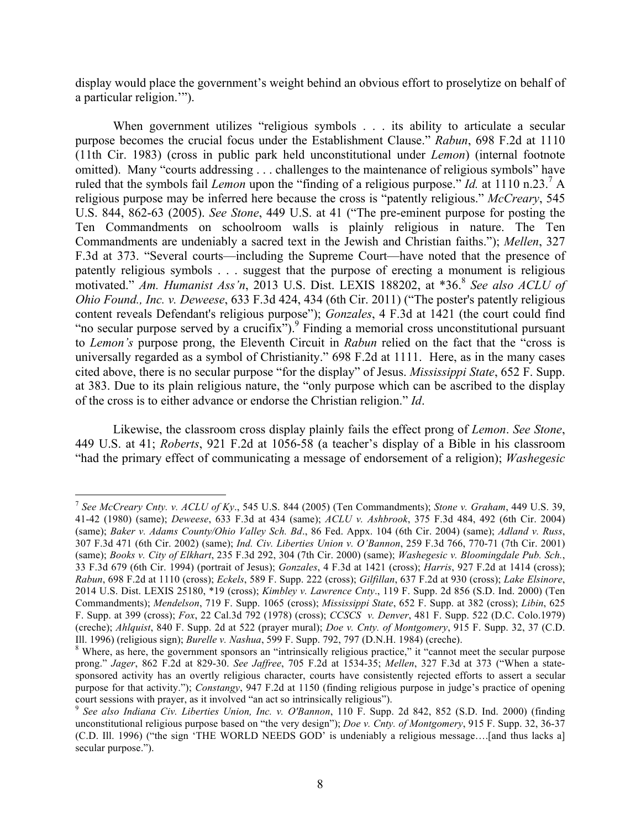display would place the government's weight behind an obvious effort to proselytize on behalf of a particular religion.'").

When government utilizes "religious symbols . . . its ability to articulate a secular purpose becomes the crucial focus under the Establishment Clause." *Rabun*, 698 F.2d at 1110 (11th Cir. 1983) (cross in public park held unconstitutional under *Lemon*) (internal footnote omitted). Many "courts addressing . . . challenges to the maintenance of religious symbols" have ruled that the symbols fail *Lemon* upon the "finding of a religious purpose." *Id.* at 1110 n.23. <sup>7</sup> A religious purpose may be inferred here because the cross is "patently religious." *McCreary*, 545 U.S. 844, 862-63 (2005). *See Stone*, 449 U.S. at 41 ("The pre-eminent purpose for posting the Ten Commandments on schoolroom walls is plainly religious in nature. The Ten Commandments are undeniably a sacred text in the Jewish and Christian faiths."); *Mellen*, 327 F.3d at 373. "Several courts—including the Supreme Court—have noted that the presence of patently religious symbols . . . suggest that the purpose of erecting a monument is religious motivated." *Am. Humanist Ass'n*, 2013 U.S. Dist. LEXIS 188202, at \*36. <sup>8</sup> *See also ACLU of Ohio Found., Inc. v. Deweese*, 633 F.3d 424, 434 (6th Cir. 2011) ("The poster's patently religious content reveals Defendant's religious purpose"); *Gonzales*, 4 F.3d at 1421 (the court could find "no secular purpose served by a crucifix").<sup>9</sup> Finding a memorial cross unconstitutional pursuant to *Lemon's* purpose prong, the Eleventh Circuit in *Rabun* relied on the fact that the "cross is universally regarded as a symbol of Christianity." 698 F.2d at 1111. Here, as in the many cases cited above, there is no secular purpose "for the display" of Jesus. *Mississippi State*, 652 F. Supp. at 383. Due to its plain religious nature, the "only purpose which can be ascribed to the display of the cross is to either advance or endorse the Christian religion." *Id*.

Likewise, the classroom cross display plainly fails the effect prong of *Lemon*. *See Stone*, 449 U.S. at 41; *Roberts*, 921 F.2d at 1056-58 (a teacher's display of a Bible in his classroom "had the primary effect of communicating a message of endorsement of a religion); *Washegesic* 

 <sup>7</sup> *See McCreary Cnty. v. ACLU of Ky*., 545 U.S. 844 (2005) (Ten Commandments); *Stone v. Graham*, 449 U.S. 39, 41-42 (1980) (same); *Deweese*, 633 F.3d at 434 (same); *ACLU v. Ashbrook*, 375 F.3d 484, 492 (6th Cir. 2004) (same); *Baker v. Adams County/Ohio Valley Sch. Bd*., 86 Fed. Appx. 104 (6th Cir. 2004) (same); *Adland v. Russ*, 307 F.3d 471 (6th Cir. 2002) (same); *Ind. Civ. Liberties Union v. O'Bannon*, 259 F.3d 766, 770-71 (7th Cir. 2001) (same); *Books v. City of Elkhart*, 235 F.3d 292, 304 (7th Cir. 2000) (same); *Washegesic v. Bloomingdale Pub. Sch.*, 33 F.3d 679 (6th Cir. 1994) (portrait of Jesus); *Gonzales*, 4 F.3d at 1421 (cross); *Harris*, 927 F.2d at 1414 (cross); *Rabun*, 698 F.2d at 1110 (cross); *Eckels*, 589 F. Supp. 222 (cross); *Gilfillan*, 637 F.2d at 930 (cross); *Lake Elsinore*, 2014 U.S. Dist. LEXIS 25180, \*19 (cross); *Kimbley v. Lawrence Cnty*., 119 F. Supp. 2d 856 (S.D. Ind. 2000) (Ten Commandments); *Mendelson*, 719 F. Supp. 1065 (cross); *Mississippi State*, 652 F. Supp. at 382 (cross); *Libin*, 625 F. Supp. at 399 (cross); *Fox*, 22 Cal.3d 792 (1978) (cross); *CCSCS v. Denver*, 481 F. Supp. 522 (D.C. Colo.1979) (creche); *Ahlquist*, 840 F. Supp. 2d at 522 (prayer mural); *Doe v. Cnty. of Montgomery*, 915 F. Supp. 32, 37 (C.D.

<sup>&</sup>lt;sup>8</sup> Where, as here, the government sponsors an "intrinsically religious practice," it "cannot meet the secular purpose prong." *Jager*, 862 F.2d at 829-30. *See Jaffree*, 705 F.2d at 1534-35; *Mellen*, 327 F.3d at 373 ("When a statesponsored activity has an overtly religious character, courts have consistently rejected efforts to assert a secular purpose for that activity."); *Constangy*, 947 F.2d at 1150 (finding religious purpose in judge's practice of opening court sessions with prayer, as it involved "an act so intrinsically religious").

<sup>9</sup> *See also Indiana Civ. Liberties Union, Inc. v. O'Bannon*, 110 F. Supp. 2d 842, 852 (S.D. Ind. 2000) (finding unconstitutional religious purpose based on "the very design"); *Doe v. Cnty. of Montgomery*, 915 F. Supp. 32, 36-37 (C.D. Ill. 1996) ("the sign 'THE WORLD NEEDS GOD' is undeniably a religious message….[and thus lacks a] secular purpose.").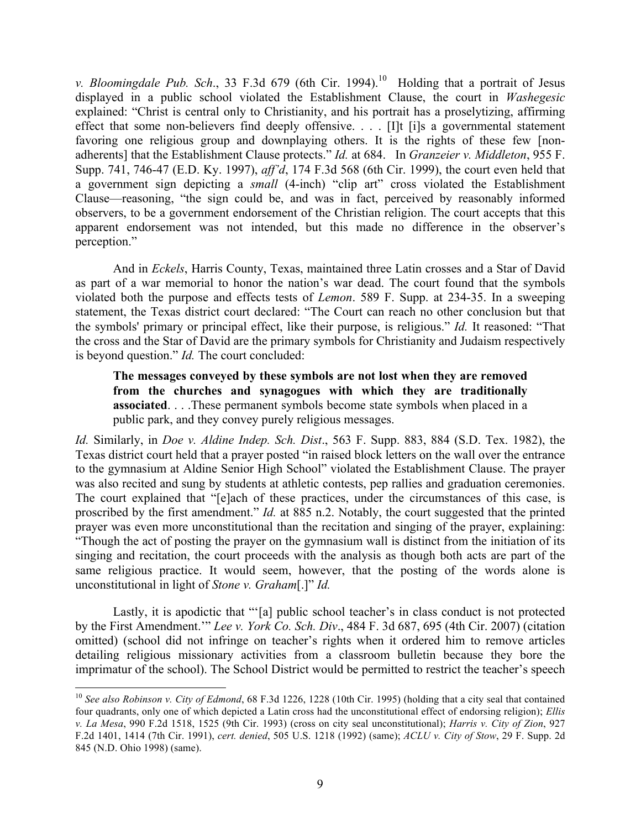*v. Bloomingdale Pub. Sch.*, 33 F.3d 679 (6th Cir. 1994).<sup>10</sup> Holding that a portrait of Jesus displayed in a public school violated the Establishment Clause, the court in *Washegesic* explained: "Christ is central only to Christianity, and his portrait has a proselytizing, affirming effect that some non-believers find deeply offensive. . . . [I]t [i]s a governmental statement favoring one religious group and downplaying others. It is the rights of these few [nonadherents] that the Establishment Clause protects." *Id.* at 684. In *Granzeier v. Middleton*, 955 F. Supp. 741, 746-47 (E.D. Ky. 1997), *aff'd*, 174 F.3d 568 (6th Cir. 1999), the court even held that a government sign depicting a *small* (4-inch) "clip art" cross violated the Establishment Clause—reasoning, "the sign could be, and was in fact, perceived by reasonably informed observers, to be a government endorsement of the Christian religion. The court accepts that this apparent endorsement was not intended, but this made no difference in the observer's perception."

And in *Eckels*, Harris County, Texas, maintained three Latin crosses and a Star of David as part of a war memorial to honor the nation's war dead. The court found that the symbols violated both the purpose and effects tests of *Lemon*. 589 F. Supp. at 234-35. In a sweeping statement, the Texas district court declared: "The Court can reach no other conclusion but that the symbols' primary or principal effect, like their purpose, is religious." *Id.* It reasoned: "That the cross and the Star of David are the primary symbols for Christianity and Judaism respectively is beyond question." *Id.* The court concluded:

**The messages conveyed by these symbols are not lost when they are removed from the churches and synagogues with which they are traditionally associated**. . . .These permanent symbols become state symbols when placed in a public park, and they convey purely religious messages.

*Id.* Similarly, in *Doe v. Aldine Indep. Sch. Dist*., 563 F. Supp. 883, 884 (S.D. Tex. 1982), the Texas district court held that a prayer posted "in raised block letters on the wall over the entrance to the gymnasium at Aldine Senior High School" violated the Establishment Clause. The prayer was also recited and sung by students at athletic contests, pep rallies and graduation ceremonies. The court explained that "[e]ach of these practices, under the circumstances of this case, is proscribed by the first amendment." *Id.* at 885 n.2. Notably, the court suggested that the printed prayer was even more unconstitutional than the recitation and singing of the prayer, explaining: "Though the act of posting the prayer on the gymnasium wall is distinct from the initiation of its singing and recitation, the court proceeds with the analysis as though both acts are part of the same religious practice. It would seem, however, that the posting of the words alone is unconstitutional in light of *Stone v. Graham*[.]" *Id.* 

Lastly, it is apodictic that "'[a] public school teacher's in class conduct is not protected by the First Amendment.'" *Lee v. York Co. Sch. Div*., 484 F. 3d 687, 695 (4th Cir. 2007) (citation omitted) (school did not infringe on teacher's rights when it ordered him to remove articles detailing religious missionary activities from a classroom bulletin because they bore the imprimatur of the school). The School District would be permitted to restrict the teacher's speech

 <sup>10</sup> *See also Robinson v. City of Edmond*, 68 F.3d 1226, 1228 (10th Cir. 1995) (holding that a city seal that contained four quadrants, only one of which depicted a Latin cross had the unconstitutional effect of endorsing religion); *Ellis v. La Mesa*, 990 F.2d 1518, 1525 (9th Cir. 1993) (cross on city seal unconstitutional); *Harris v. City of Zion*, 927 F.2d 1401, 1414 (7th Cir. 1991), *cert. denied*, 505 U.S. 1218 (1992) (same); *ACLU v. City of Stow*, 29 F. Supp. 2d 845 (N.D. Ohio 1998) (same).